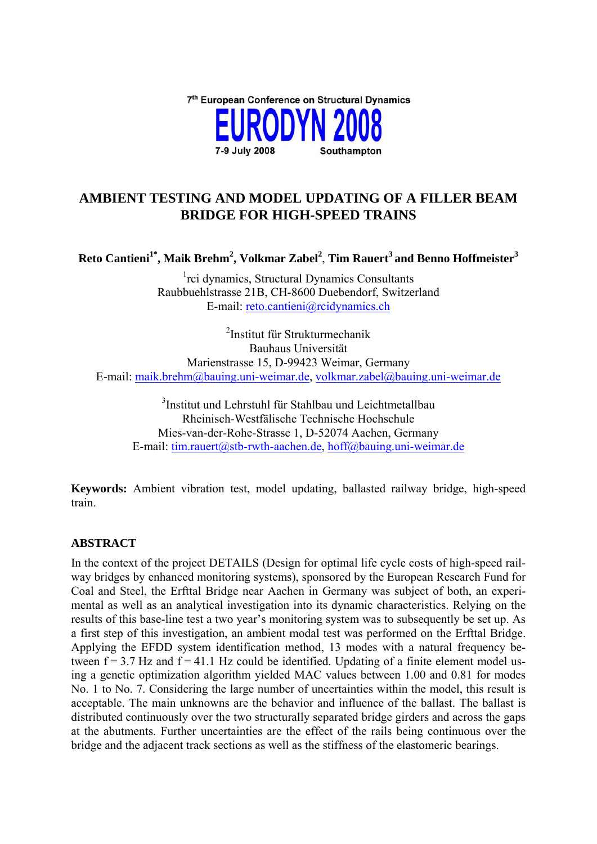

# **AMBIENT TESTING AND MODEL UPDATING OF A FILLER BEAM BRIDGE FOR HIGH-SPEED TRAINS**

**Reto Cantieni1\*, Maik Brehm2 , Volkmar Zabel<sup>2</sup>** , **Tim Rauert3 and Benno Hoffmeister3**

<sup>1</sup>rci dynamics, Structural Dynamics Consultants Raubbuehlstrasse 21B, CH-8600 Duebendorf, Switzerland E-mail: reto.cantieni@rcidynamics.ch

2 Institut für Strukturmechanik Bauhaus Universität Marienstrasse 15, D-99423 Weimar, Germany E-mail: maik.brehm@bauing.uni-weimar.de, volkmar.zabel@bauing.uni-weimar.de

3 Institut und Lehrstuhl für Stahlbau und Leichtmetallbau Rheinisch-Westfälische Technische Hochschule Mies-van-der-Rohe-Strasse 1, D-52074 Aachen, Germany E-mail: tim.rauert@stb-rwth-aachen.de, hoff@bauing.uni-weimar.de

**Keywords:** Ambient vibration test, model updating, ballasted railway bridge, high-speed train.

## **ABSTRACT**

In the context of the project DETAILS (Design for optimal life cycle costs of high-speed railway bridges by enhanced monitoring systems), sponsored by the European Research Fund for Coal and Steel, the Erfttal Bridge near Aachen in Germany was subject of both, an experimental as well as an analytical investigation into its dynamic characteristics. Relying on the results of this base-line test a two year's monitoring system was to subsequently be set up. As a first step of this investigation, an ambient modal test was performed on the Erfttal Bridge. Applying the EFDD system identification method, 13 modes with a natural frequency between  $f = 3.7$  Hz and  $f = 41.1$  Hz could be identified. Updating of a finite element model using a genetic optimization algorithm yielded MAC values between 1.00 and 0.81 for modes No. 1 to No. 7. Considering the large number of uncertainties within the model, this result is acceptable. The main unknowns are the behavior and influence of the ballast. The ballast is distributed continuously over the two structurally separated bridge girders and across the gaps at the abutments. Further uncertainties are the effect of the rails being continuous over the bridge and the adjacent track sections as well as the stiffness of the elastomeric bearings.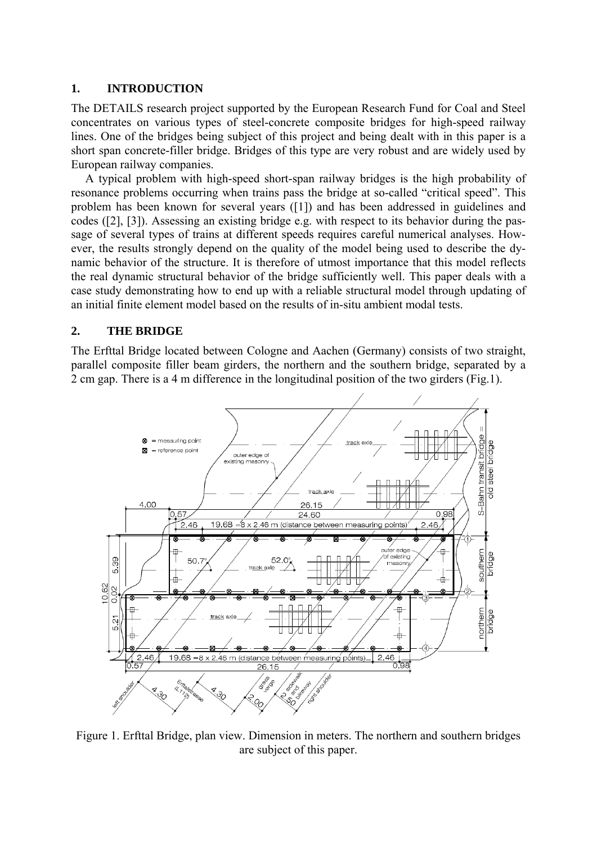#### **1. INTRODUCTION**

The DETAILS research project supported by the European Research Fund for Coal and Steel concentrates on various types of steel-concrete composite bridges for high-speed railway lines. One of the bridges being subject of this project and being dealt with in this paper is a short span concrete-filler bridge. Bridges of this type are very robust and are widely used by European railway companies.

A typical problem with high-speed short-span railway bridges is the high probability of resonance problems occurring when trains pass the bridge at so-called "critical speed". This problem has been known for several years ([1]) and has been addressed in guidelines and codes ([2], [3]). Assessing an existing bridge e.g. with respect to its behavior during the passage of several types of trains at different speeds requires careful numerical analyses. However, the results strongly depend on the quality of the model being used to describe the dynamic behavior of the structure. It is therefore of utmost importance that this model reflects the real dynamic structural behavior of the bridge sufficiently well. This paper deals with a case study demonstrating how to end up with a reliable structural model through updating of an initial finite element model based on the results of in-situ ambient modal tests.

#### **2. THE BRIDGE**

The Erfttal Bridge located between Cologne and Aachen (Germany) consists of two straight, parallel composite filler beam girders, the northern and the southern bridge, separated by a 2 cm gap. There is a 4 m difference in the longitudinal position of the two girders (Fig.1).



Figure 1. Erfttal Bridge, plan view. Dimension in meters. The northern and southern bridges are subject of this paper.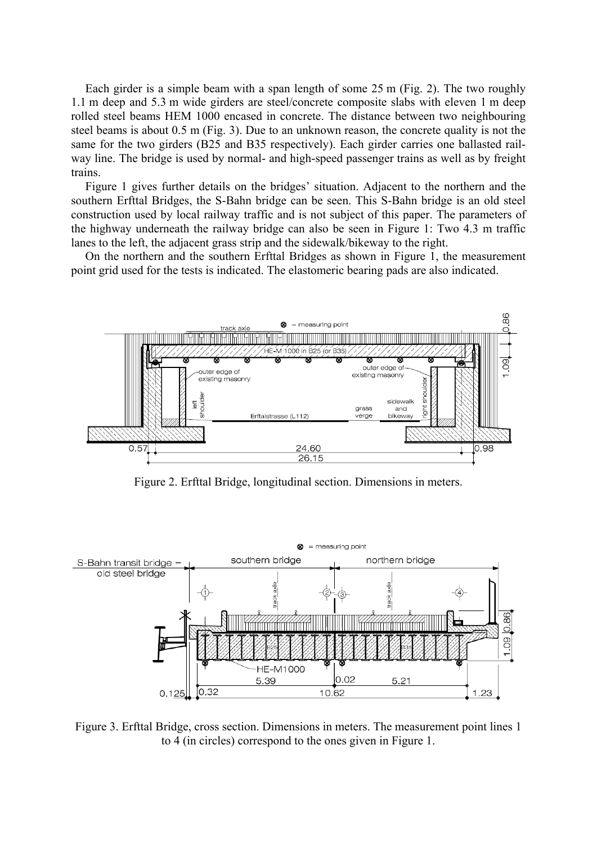Each girder is a simple beam with a span length of some 25 m (Fig. 2). The two roughly 1.1 m deep and 5.3 m wide girders are steel/concrete composite slabs with eleven 1 m deep rolled steel beams HEM 1000 encased in concrete. The distance between two neighbouring steel beams is about 0.5 m (Fig. 3). Due to an unknown reason, the concrete quality is not the same for the two girders (B25 and B35 respectively). Each girder carries one ballasted railway line. The bridge is used by normal- and high-speed passenger trains as well as by freight trains.

Figure 1 gives further details on the bridges' situation. Adjacent to the northern and the southern Erfttal Bridges, the S-Bahn bridge can be seen. This S-Bahn bridge is an old steel construction used by local railway traffic and is not subject of this paper. The parameters of the highway underneath the railway bridge can also be seen in Figure 1: Two 4.3 m traffic lanes to the left, the adjacent grass strip and the sidewalk/bikeway to the right.

On the northern and the southern Erfttal Bridges as shown in Figure 1, the measurement point grid used for the tests is indicated. The elastomeric bearing pads are also indicated.



Figure 2. Erfttal Bridge, longitudinal section. Dimensions in meters.



Figure 3. Erfttal Bridge, cross section. Dimensions in meters. The measurement point lines 1 to 4 (in circles) correspond to the ones given in Figure 1.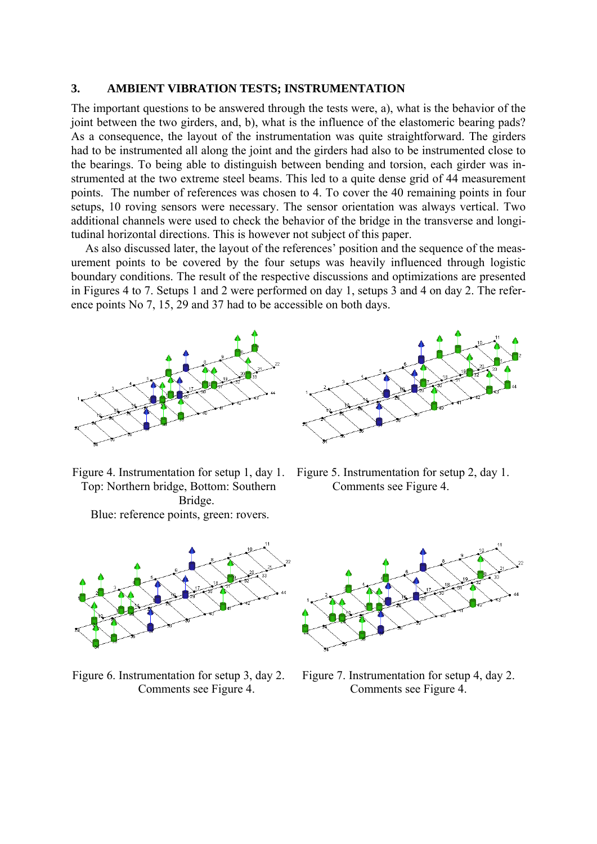#### **3. AMBIENT VIBRATION TESTS; INSTRUMENTATION**

The important questions to be answered through the tests were, a), what is the behavior of the joint between the two girders, and, b), what is the influence of the elastomeric bearing pads? As a consequence, the layout of the instrumentation was quite straightforward. The girders had to be instrumented all along the joint and the girders had also to be instrumented close to the bearings. To being able to distinguish between bending and torsion, each girder was instrumented at the two extreme steel beams. This led to a quite dense grid of 44 measurement points. The number of references was chosen to 4. To cover the 40 remaining points in four setups, 10 roving sensors were necessary. The sensor orientation was always vertical. Two additional channels were used to check the behavior of the bridge in the transverse and longitudinal horizontal directions. This is however not subject of this paper.

As also discussed later, the layout of the references' position and the sequence of the measurement points to be covered by the four setups was heavily influenced through logistic boundary conditions. The result of the respective discussions and optimizations are presented in Figures 4 to 7. Setups 1 and 2 were performed on day 1, setups 3 and 4 on day 2. The reference points No 7, 15, 29 and 37 had to be accessible on both days.





Top: Northern bridge, Bottom: Southern Bridge. Blue: reference points, green: rovers.



Figure 6. Instrumentation for setup 3, day 2. Comments see Figure 4.





Figure 7. Instrumentation for setup 4, day 2. Comments see Figure 4.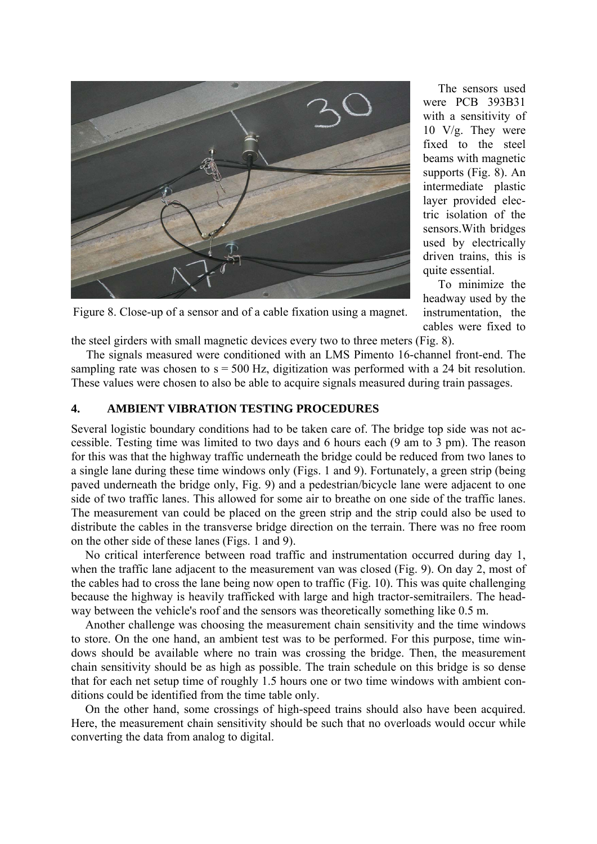

 The sensors used were PCB 393B31 with a sensitivity of 10 V/g. They were fixed to the steel beams with magnetic supports (Fig. 8). An intermediate plastic layer provided electric isolation of the sensors.With bridges used by electrically driven trains, this is quite essential.

 To minimize the headway used by the instrumentation, the cables were fixed to

Figure 8. Close-up of a sensor and of a cable fixation using a magnet.

the steel girders with small magnetic devices every two to three meters (Fig. 8).

 The signals measured were conditioned with an LMS Pimento 16-channel front-end. The sampling rate was chosen to  $s = 500$  Hz, digitization was performed with a 24 bit resolution. These values were chosen to also be able to acquire signals measured during train passages.

#### **4. AMBIENT VIBRATION TESTING PROCEDURES**

Several logistic boundary conditions had to be taken care of. The bridge top side was not accessible. Testing time was limited to two days and 6 hours each (9 am to 3 pm). The reason for this was that the highway traffic underneath the bridge could be reduced from two lanes to a single lane during these time windows only (Figs. 1 and 9). Fortunately, a green strip (being paved underneath the bridge only, Fig. 9) and a pedestrian/bicycle lane were adjacent to one side of two traffic lanes. This allowed for some air to breathe on one side of the traffic lanes. The measurement van could be placed on the green strip and the strip could also be used to distribute the cables in the transverse bridge direction on the terrain. There was no free room on the other side of these lanes (Figs. 1 and 9).

No critical interference between road traffic and instrumentation occurred during day 1, when the traffic lane adjacent to the measurement van was closed (Fig. 9). On day 2, most of the cables had to cross the lane being now open to traffic (Fig. 10). This was quite challenging because the highway is heavily trafficked with large and high tractor-semitrailers. The headway between the vehicle's roof and the sensors was theoretically something like 0.5 m.

Another challenge was choosing the measurement chain sensitivity and the time windows to store. On the one hand, an ambient test was to be performed. For this purpose, time windows should be available where no train was crossing the bridge. Then, the measurement chain sensitivity should be as high as possible. The train schedule on this bridge is so dense that for each net setup time of roughly 1.5 hours one or two time windows with ambient conditions could be identified from the time table only.

On the other hand, some crossings of high-speed trains should also have been acquired. Here, the measurement chain sensitivity should be such that no overloads would occur while converting the data from analog to digital.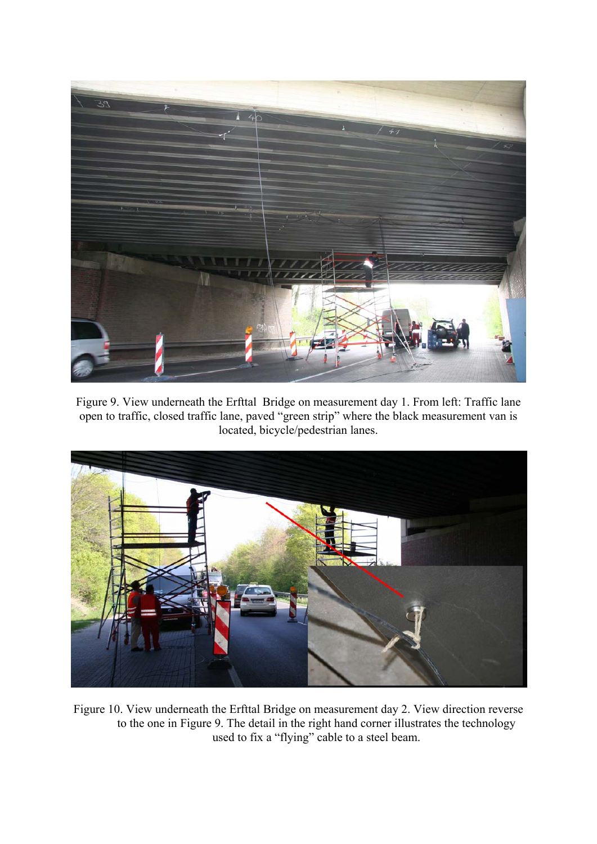

Figure 9. View underneath the Erfttal Bridge on measurement day 1. From left: Traffic lane open to traffic, closed traffic lane, paved "green strip" where the black measurement van is located, bicycle/pedestrian lanes.



Figure 10. View underneath the Erfttal Bridge on measurement day 2. View direction reverse to the one in Figure 9. The detail in the right hand corner illustrates the technology used to fix a "flying" cable to a steel beam.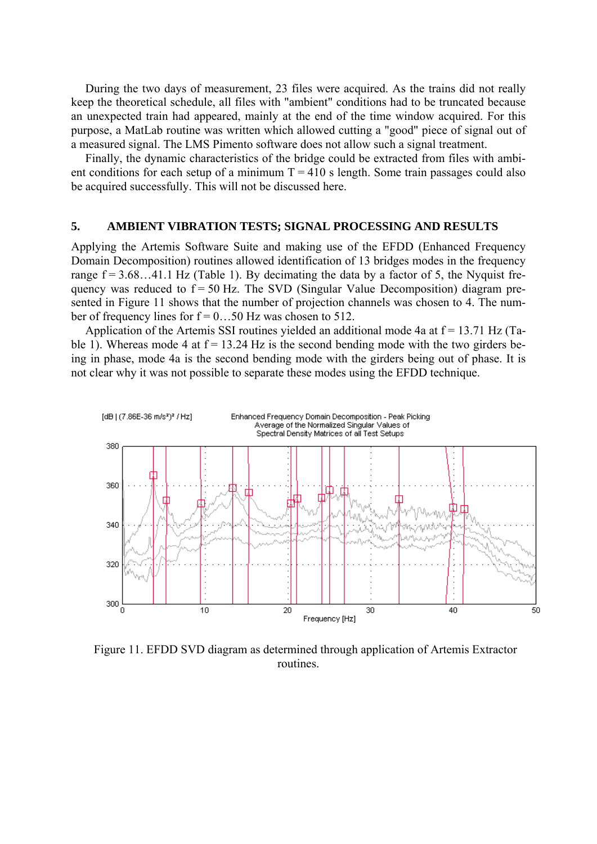During the two days of measurement, 23 files were acquired. As the trains did not really keep the theoretical schedule, all files with "ambient" conditions had to be truncated because an unexpected train had appeared, mainly at the end of the time window acquired. For this purpose, a MatLab routine was written which allowed cutting a "good" piece of signal out of a measured signal. The LMS Pimento software does not allow such a signal treatment.

Finally, the dynamic characteristics of the bridge could be extracted from files with ambient conditions for each setup of a minimum  $T = 410$  s length. Some train passages could also be acquired successfully. This will not be discussed here.

#### **5. AMBIENT VIBRATION TESTS; SIGNAL PROCESSING AND RESULTS**

Applying the Artemis Software Suite and making use of the EFDD (Enhanced Frequency Domain Decomposition) routines allowed identification of 13 bridges modes in the frequency range  $f = 3.68...41.1$  Hz (Table 1). By decimating the data by a factor of 5, the Nyquist frequency was reduced to  $f = 50$  Hz. The SVD (Singular Value Decomposition) diagram presented in Figure 11 shows that the number of projection channels was chosen to 4. The number of frequency lines for  $f = 0$ ...50 Hz was chosen to 512.

Application of the Artemis SSI routines yielded an additional mode 4a at  $f = 13.71$  Hz (Table 1). Whereas mode 4 at  $f = 13.24$  Hz is the second bending mode with the two girders being in phase, mode 4a is the second bending mode with the girders being out of phase. It is not clear why it was not possible to separate these modes using the EFDD technique.



Figure 11. EFDD SVD diagram as determined through application of Artemis Extractor routines.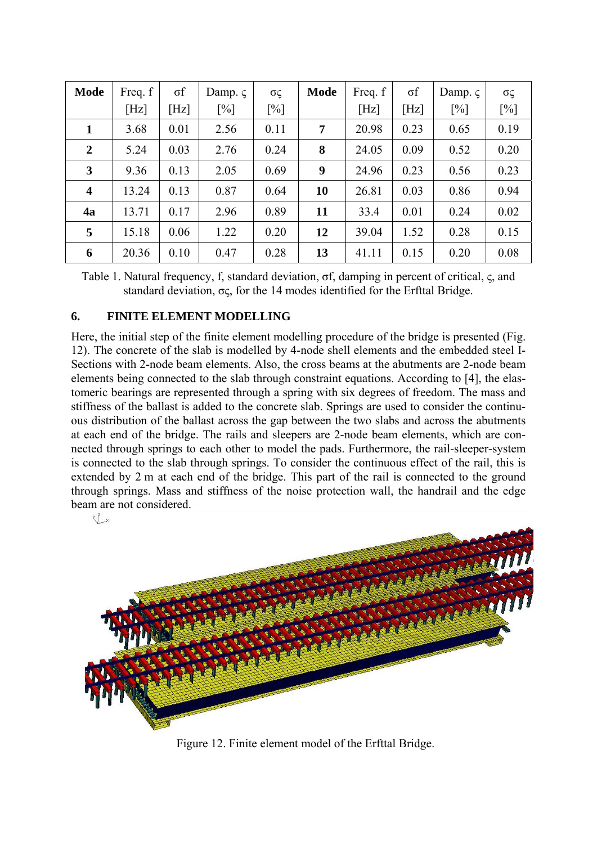| <b>Mode</b>             | Freq. f | $\sigma$ f | Damp. $\varsigma$ | σς     | <b>Mode</b> | Freq. f | $\sigma f$ | Damp. $\varsigma$ | $\sigma \varsigma$ |
|-------------------------|---------|------------|-------------------|--------|-------------|---------|------------|-------------------|--------------------|
|                         | [Hz]    | [Hz]       | $[\%]$            | $[\%]$ |             | [Hz]    | [Hz]       | [%]               | $[\%]$             |
| $\mathbf{1}$            | 3.68    | 0.01       | 2.56              | 0.11   | 7           | 20.98   | 0.23       | 0.65              | 0.19               |
| $\boldsymbol{2}$        | 5.24    | 0.03       | 2.76              | 0.24   | 8           | 24.05   | 0.09       | 0.52              | 0.20               |
| $\mathbf{3}$            | 9.36    | 0.13       | 2.05              | 0.69   | 9           | 24.96   | 0.23       | 0.56              | 0.23               |
| $\overline{\mathbf{4}}$ | 13.24   | 0.13       | 0.87              | 0.64   | 10          | 26.81   | 0.03       | 0.86              | 0.94               |
| 4a                      | 13.71   | 0.17       | 2.96              | 0.89   | 11          | 33.4    | 0.01       | 0.24              | 0.02               |
| 5                       | 15.18   | 0.06       | 1.22              | 0.20   | 12          | 39.04   | 1.52       | 0.28              | 0.15               |
| 6                       | 20.36   | 0.10       | 0.47              | 0.28   | 13          | 41.11   | 0.15       | 0.20              | 0.08               |

Table 1. Natural frequency, f, standard deviation, σf, damping in percent of critical, ς, and standard deviation,  $\sigma \zeta$ , for the 14 modes identified for the Erfttal Bridge.

## **6. FINITE ELEMENT MODELLING**

Here, the initial step of the finite element modelling procedure of the bridge is presented (Fig. 12). The concrete of the slab is modelled by 4-node shell elements and the embedded steel I-Sections with 2-node beam elements. Also, the cross beams at the abutments are 2-node beam elements being connected to the slab through constraint equations. According to [4], the elastomeric bearings are represented through a spring with six degrees of freedom. The mass and stiffness of the ballast is added to the concrete slab. Springs are used to consider the continuous distribution of the ballast across the gap between the two slabs and across the abutments at each end of the bridge. The rails and sleepers are 2-node beam elements, which are connected through springs to each other to model the pads. Furthermore, the rail-sleeper-system is connected to the slab through springs. To consider the continuous effect of the rail, this is extended by 2 m at each end of the bridge. This part of the rail is connected to the ground through springs. Mass and stiffness of the noise protection wall, the handrail and the edge beam are not considered.



Figure 12. Finite element model of the Erfttal Bridge.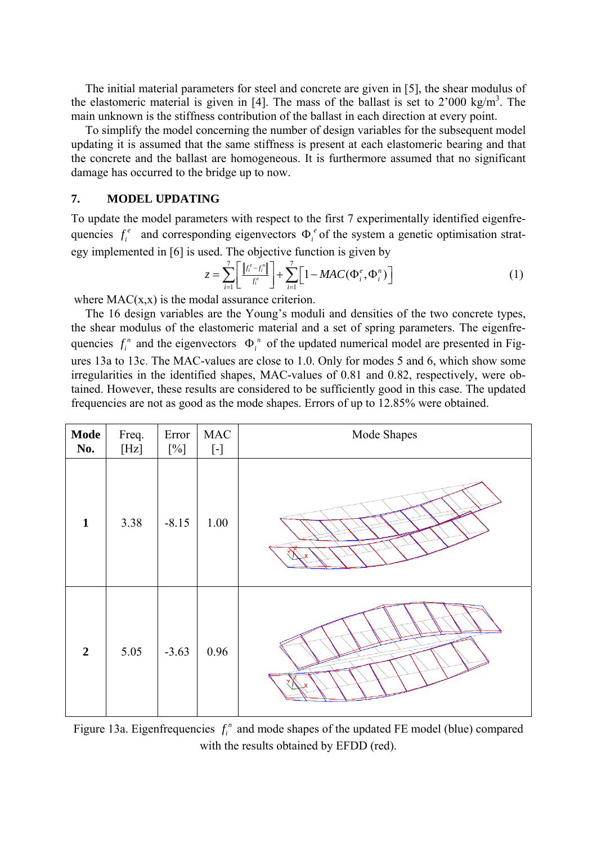The initial material parameters for steel and concrete are given in [5], the shear modulus of the elastomeric material is given in [4]. The mass of the ballast is set to  $2'000 \text{ kg/m}^3$ . The main unknown is the stiffness contribution of the ballast in each direction at every point.

To simplify the model concerning the number of design variables for the subsequent model updating it is assumed that the same stiffness is present at each elastomeric bearing and that the concrete and the ballast are homogeneous. It is furthermore assumed that no significant damage has occurred to the bridge up to now.

### **7. MODEL UPDATING**

To update the model parameters with respect to the first 7 experimentally identified eigenfrequencies  $f_i^e$  and corresponding eigenvectors  $\Phi_i^e$  of the system a genetic optimisation strategy implemented in [6] is used. The objective function is given by

$$
z = \sum_{i=1}^{7} \left[ \frac{\|f_i^e - f_i^n\|}{f_i^e} \right] + \sum_{i=1}^{7} \left[ 1 - MAC(\Phi_i^e, \Phi_i^n) \right] \tag{1}
$$

where  $MAC(x, x)$  is the modal assurance criterion.

The 16 design variables are the Young's moduli and densities of the two concrete types, the shear modulus of the elastomeric material and a set of spring parameters. The eigenfrequencies  $f_i^n$  and the eigenvectors  $\Phi_i^n$  of the updated numerical model are presented in Figures 13a to 13c. The MAC-values are close to 1.0. Only for modes 5 and 6, which show some irregularities in the identified shapes, MAC-values of 0.81 and 0.82, respectively, were obtained. However, these results are considered to be sufficiently good in this case. The updated frequencies are not as good as the mode shapes. Errors of up to 12.85% were obtained.

| <b>Mode</b><br>No. | Freq.<br>[Hz] | Error<br>$[\%]$ | $\rm MAC$<br>$\left[ -\right] % \begin{minipage}[b]{.45\linewidth} \centering \includegraphics[width=\linewidth]{images/Example_14]{Example_144m100.pdf} \caption{The image shows the number of times of the number of times.} \label{fig:Example_144m10_144} \end{minipage} \ \ \begin{minipage}[b]{.45\linewidth} \centering \includegraphics[width=\linewidth]{images/Example_144m10_14} \caption{The 3D (blue) and 4D (blue) are the number of times.} \label{fig:Example_144m10_144} \end{minipage} \ \ \begin{minipage}[b]{.45\linewidth} \centering \includegraphics[width=\linewidth]{images/Example_144$ | Mode Shapes |
|--------------------|---------------|-----------------|-------------------------------------------------------------------------------------------------------------------------------------------------------------------------------------------------------------------------------------------------------------------------------------------------------------------------------------------------------------------------------------------------------------------------------------------------------------------------------------------------------------------------------------------------------------------------------------------------------------------|-------------|
| $\mathbf{1}$       | 3.38          | $-8.15$         | $1.00\,$                                                                                                                                                                                                                                                                                                                                                                                                                                                                                                                                                                                                          |             |
| $\overline{2}$     | 5.05          | $-3.63$         | 0.96                                                                                                                                                                                                                                                                                                                                                                                                                                                                                                                                                                                                              |             |

Figure 13a. Eigenfrequencies  $f_i^n$  and mode shapes of the updated FE model (blue) compared with the results obtained by EFDD (red).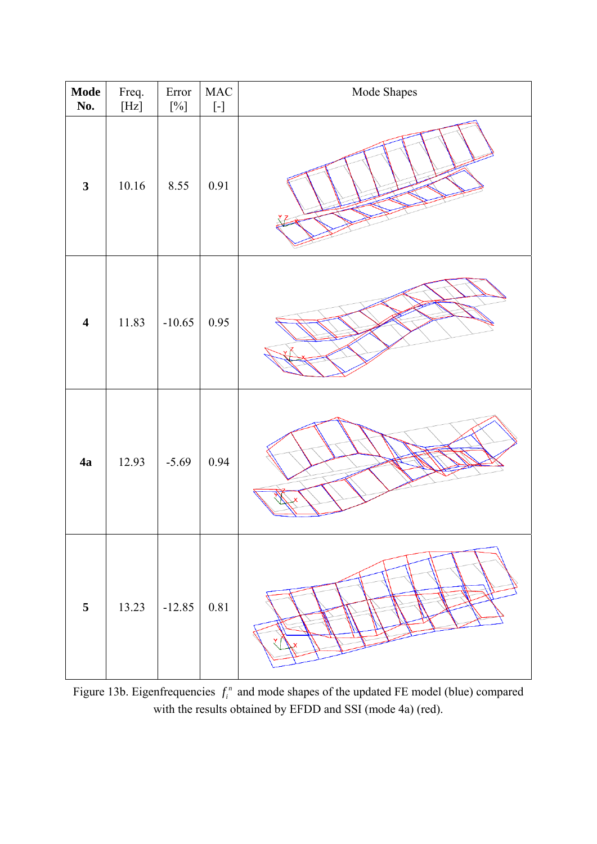| <b>Mode</b><br>No.      | Freq.<br>$[{\rm Hz}]$ | Error<br>$[\%]$ | $\rm MAC$ | Mode Shapes |
|-------------------------|-----------------------|-----------------|-----------|-------------|
| $\mathbf{3}$            | $10.16\,$             | 8.55            | 0.91      |             |
| $\overline{\mathbf{4}}$ | 11.83                 | $-10.65$        | 0.95      |             |
| 4a                      | 12.93                 | $-5.69$         | 0.94      |             |
| $\overline{\mathbf{5}}$ | 13.23                 | $-12.85$        | 0.81      |             |

Figure 13b. Eigenfrequencies  $f_i^n$  and mode shapes of the updated FE model (blue) compared with the results obtained by EFDD and SSI (mode 4a) (red).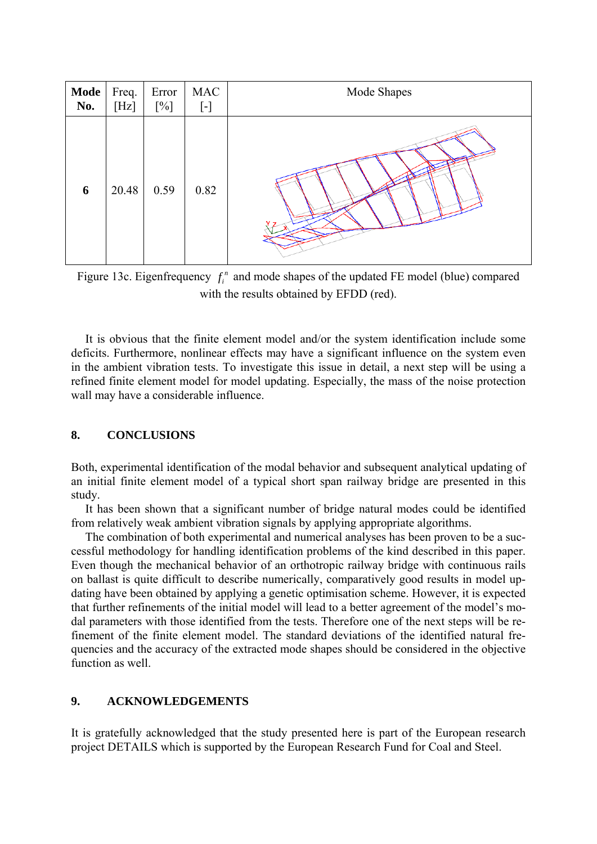| Mode | Freq. | Error  | $\rm MAC$ | Mode Shapes |
|------|-------|--------|-----------|-------------|
| No.  | [Hz]  | $[\%]$ | $[\cdot]$ |             |
| 6    | 20.48 | 0.59   | 0.82      |             |

Figure 13c. Eigenfrequency  $f_i^n$  and mode shapes of the updated FE model (blue) compared with the results obtained by EFDD (red).

It is obvious that the finite element model and/or the system identification include some deficits. Furthermore, nonlinear effects may have a significant influence on the system even in the ambient vibration tests. To investigate this issue in detail, a next step will be using a refined finite element model for model updating. Especially, the mass of the noise protection wall may have a considerable influence.

## **8. CONCLUSIONS**

Both, experimental identification of the modal behavior and subsequent analytical updating of an initial finite element model of a typical short span railway bridge are presented in this study.

It has been shown that a significant number of bridge natural modes could be identified from relatively weak ambient vibration signals by applying appropriate algorithms.

The combination of both experimental and numerical analyses has been proven to be a successful methodology for handling identification problems of the kind described in this paper. Even though the mechanical behavior of an orthotropic railway bridge with continuous rails on ballast is quite difficult to describe numerically, comparatively good results in model updating have been obtained by applying a genetic optimisation scheme. However, it is expected that further refinements of the initial model will lead to a better agreement of the model's modal parameters with those identified from the tests. Therefore one of the next steps will be refinement of the finite element model. The standard deviations of the identified natural frequencies and the accuracy of the extracted mode shapes should be considered in the objective function as well.

## **9. ACKNOWLEDGEMENTS**

It is gratefully acknowledged that the study presented here is part of the European research project DETAILS which is supported by the European Research Fund for Coal and Steel.